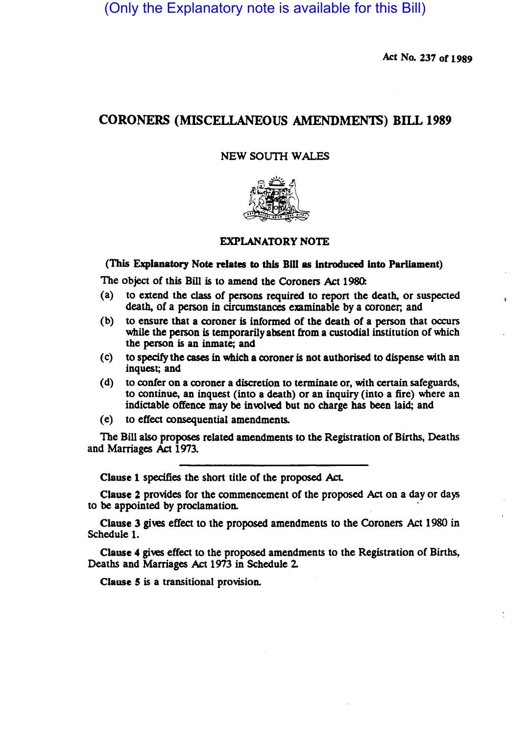(Only the Explanatory note is available for this Bill)

Act No. 237 of 1989

# CORONERS (MISCELLANEOUS AMENDMENTS) BILL 1989

# NEW SOUTH WALES



# EXPLANATORY NOTE

#### (This Explanatory Note relates to this Bill as introduced into Parliament)

The object of this Bill is to amend the Coroners Act 1980:

- (a) to extend the class of persons required to repon the death, or suspected death, of a person in circumstances examinable by a coroner; and
- (b) to ensure that a coroner is informed of the death of a person that occurs while the person is temporarily absent from a custodial institution of which the person is an inmate; and
- (c) to specify the cases in which a coroner is not authorised to dispense with an inquest; and
- (d) to confer on a coroner a discretion to terminate or, with certain safeguards, to continue, an inquest (into a death) or an inquiry (into a fire) where an indictable offence may be involved but no charge has been laid; and
- (e) to effect consequential amendments.

The Bill also proposes related amendments to the Registration of Births, Deaths and Marriages Act 1973.

Clause 1 specifies the short title of the proposed Act.

Clause 2 provides for the commencement of the proposed Act on a day or days to be appointed by proclamation.

Clause 3 gives effect to the proposed amendments to the Coroners Act 1980 in Schedule 1.

Clause 4 gives effect to the proposed amendments to the Registration of Births, Deaths and Marriages Act 1973 in Schedule 2

Clause 5 is a transitional provision.